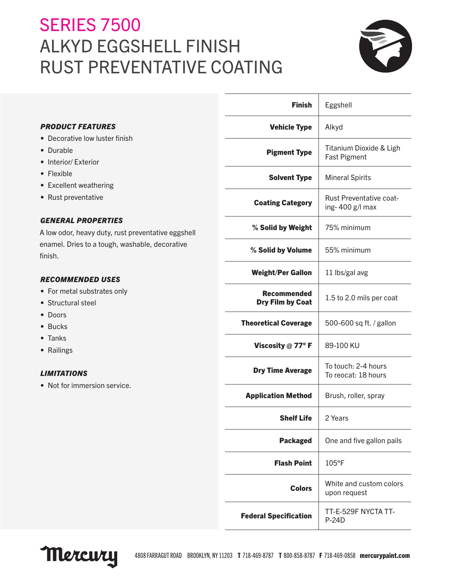# **SERIES 7500** ALKYD EGGSHELL FINISH RUST PREVENTATIVE COATING



|                                                                                                                                                                                                                                                                                                                                   | <b>Finish</b>                          | Eggshell                                          |
|-----------------------------------------------------------------------------------------------------------------------------------------------------------------------------------------------------------------------------------------------------------------------------------------------------------------------------------|----------------------------------------|---------------------------------------------------|
| <b>PRODUCT FEATURES</b><br>• Decorative low luster finish<br>• Durable<br>• Interior/ Exterior<br>• Flexible<br>• Excellent weathering                                                                                                                                                                                            | <b>Vehicle Type</b>                    | Alkyd                                             |
|                                                                                                                                                                                                                                                                                                                                   | <b>Pigment Type</b>                    | Titanium Dioxide & Ligh<br><b>Fast Pigment</b>    |
|                                                                                                                                                                                                                                                                                                                                   | <b>Solvent Type</b>                    | <b>Mineral Spirits</b>                            |
| • Rust preventative                                                                                                                                                                                                                                                                                                               | <b>Coating Category</b>                | <b>Rust Preventative coat-</b><br>ing-400 g/l max |
| <b>GENERAL PROPERTIES</b><br>A low odor, heavy duty, rust preventative eggshell<br>enamel. Dries to a tough, washable, decorative<br>finish.<br><b>RECOMMENDED USES</b><br>• For metal substrates only<br>• Structural steel<br>• Doors<br>• Bucks<br>• Tanks<br>• Railings<br><b>LIMITATIONS</b><br>• Not for immersion service. | % Solid by Weight                      | 75% minimum                                       |
|                                                                                                                                                                                                                                                                                                                                   | % Solid by Volume                      | 55% minimum                                       |
|                                                                                                                                                                                                                                                                                                                                   | <b>Weight/Per Gallon</b>               | 11 lbs/gal avg                                    |
|                                                                                                                                                                                                                                                                                                                                   | <b>Recommended</b><br>Dry Film by Coat | 1.5 to 2.0 mils per coat                          |
|                                                                                                                                                                                                                                                                                                                                   | <b>Theoretical Coverage</b>            | 500-600 sq ft. / gallon                           |
|                                                                                                                                                                                                                                                                                                                                   | Viscosity @ 77°F                       | 89-100 KU                                         |
|                                                                                                                                                                                                                                                                                                                                   | <b>Dry Time Average</b>                | To touch: 2-4 hours<br>To reocat: 18 hours        |
|                                                                                                                                                                                                                                                                                                                                   | <b>Application Method</b>              | Brush, roller, spray                              |
|                                                                                                                                                                                                                                                                                                                                   | <b>Shelf Life</b>                      | 2 Years                                           |
|                                                                                                                                                                                                                                                                                                                                   | <b>Packaged</b>                        | One and five gallon pails                         |
|                                                                                                                                                                                                                                                                                                                                   | <b>Flash Point</b>                     | 105°F                                             |
|                                                                                                                                                                                                                                                                                                                                   | <b>Colors</b>                          | White and custom colors<br>upon request           |
|                                                                                                                                                                                                                                                                                                                                   | <b>Federal Specification</b>           | TT-E-529F NYCTA TT-<br>$P-24D$                    |